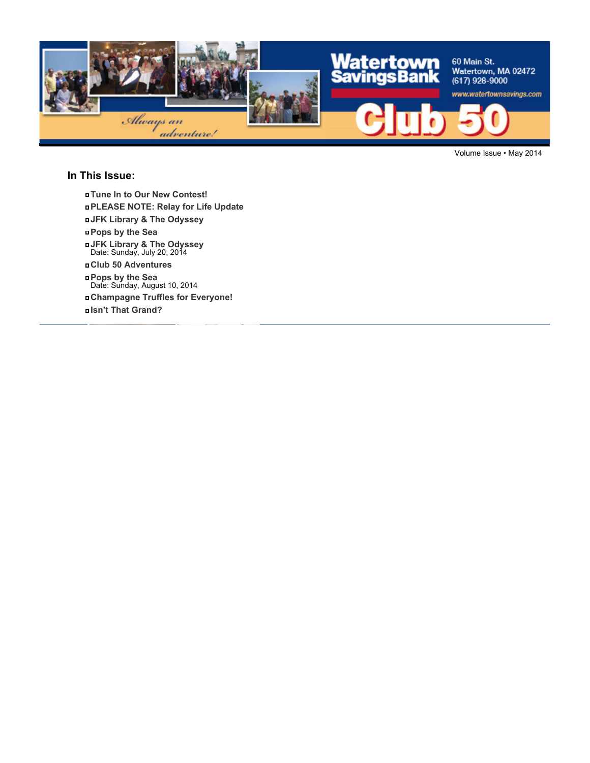

Volume Issue • May 2014

#### **In This Issue:**

- **Tune In to Our New Contest!**
- **PLEASE NOTE: Relay for Life Update**
- **JFK Library & The Odyssey**
- **Pops by the Sea**
- **JFK Library & The Odyssey** Date: Sunday, July 20, 2014
- **Club 50 Adventures**
- **Pops by the Sea** Date: Sunday, August 10, 2014
- **Champagne Truffles for Everyone!**
- **Isn't That Grand?**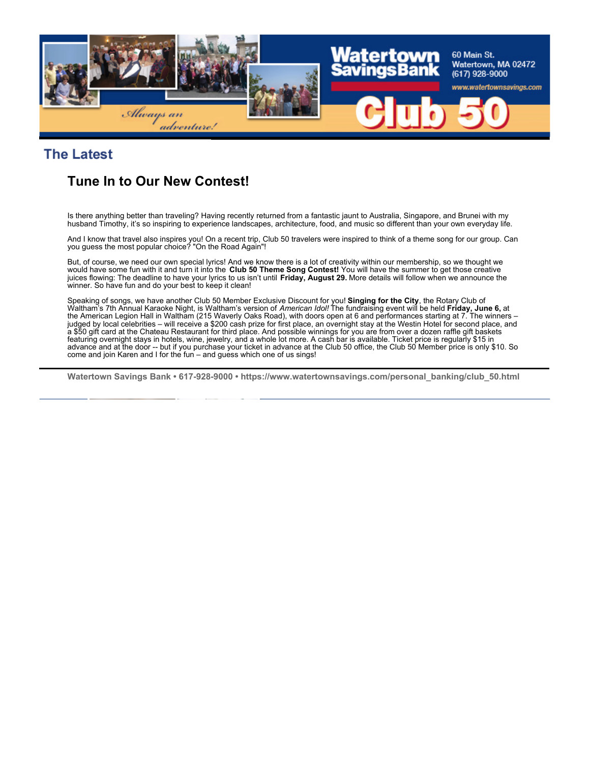

### **The Latest**

# **Tune In to Our New Contest!**

Is there anything better than traveling? Having recently returned from a fantastic jaunt to Australia, Singapore, and Brunei with my husband Timothy, it's so inspiring to experience landscapes, architecture, food, and music so different than your own everyday life.

And I know that travel also inspires you! On a recent trip, Club 50 travelers were inspired to think of a theme song for our group. Can you guess the most popular choice? "On the Road Again"!

But, of course, we need our own special lyrics! And we know there is a lot of creativity within our membership, so we thought we would have some fun with it and turn it into the **Club 50 Theme Song Contest!** You will have the summer to get those creative juices flowing: The deadline to have your lyrics to us isn't until **Friday, August 29.** More details will follow when we announce the winner. So have fun and do your best to keep it clean!

Speaking of songs, we have another Club 50 Member Exclusive Discount for you! **Singing for the City**, the Rotary Club of<br>Waltham's 7th Annual Karaoke Night, is Waltham's version of *American Idol!* The fundraising event wi the American Legion Hall in Waltham (215 Waverly Oaks Road), with doors open at 6 and performances starting at 7. The winners – judged by local celebrities – will receive a \$200 cash prize for first place, an overnight stay at the Westin Hotel for second place, and a \$50 gift card at the Chateau Restaurant for third place. And possible winnings for you are from over a dozen raffle gift baskets featuring overnight stays in hotels, wine, jewelry, and a whole lot more. A cash bar is available. Ticket price is regularly \$15 in advance and at the door -- but if you purchase your ticket in advance at the Club 50 office, the Club 50 Member price is only \$10. So come and join Karen and I for the fun – and guess which one of us sings!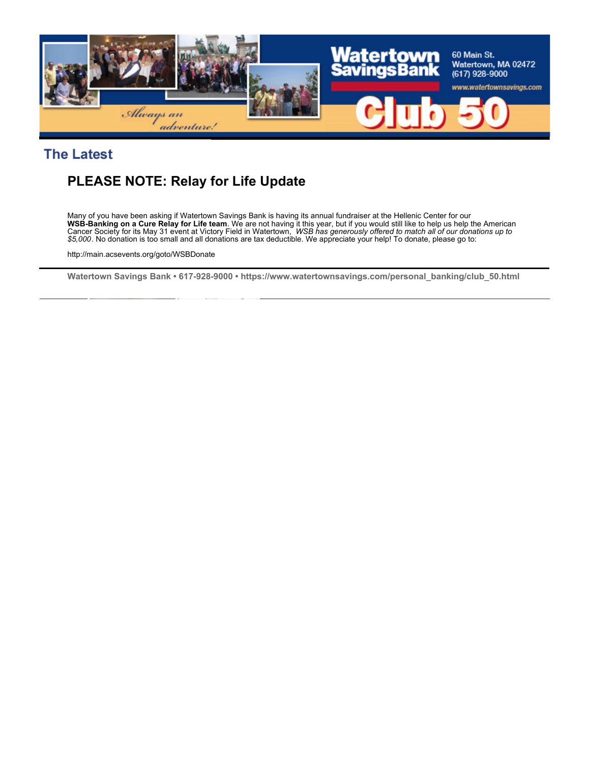

### **The Latest**

# **PLEASE NOTE: Relay for Life Update**

Many of you have been asking if Watertown Savings Bank is having its annual fundraiser at the Hellenic Center for our **WSB-Banking on a Cure Relay for Life team**. We are not having it this year, but if you would still like to help us help the American<br>Cancer Society for its May 31 event at Victory Field in Watertown, *WSB has generously o \$5,000*. No donation is too small and all donations are tax deductible. We appreciate your help! To donate, please go to:

http://main.acsevents.org/goto/WSBDonate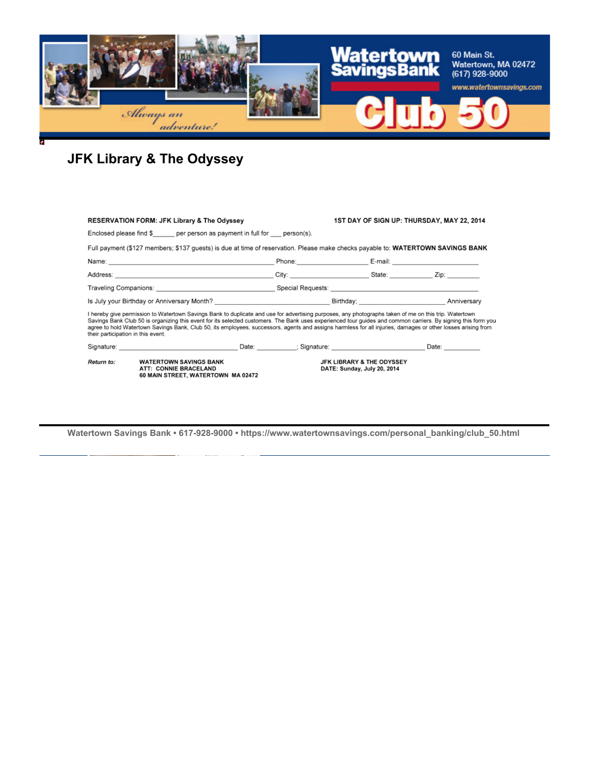

# **JFK Library & The Odyssey**

|                                                                                                                                                                                                                                                                                                                                                                                                                                                                                                                              | <b>RESERVATION FORM: JFK Library &amp; The Odyssey</b>                                                          |                             | 1ST DAY OF SIGN UP: THURSDAY, MAY 22, 2014 |  |  |  |  |  |
|------------------------------------------------------------------------------------------------------------------------------------------------------------------------------------------------------------------------------------------------------------------------------------------------------------------------------------------------------------------------------------------------------------------------------------------------------------------------------------------------------------------------------|-----------------------------------------------------------------------------------------------------------------|-----------------------------|--------------------------------------------|--|--|--|--|--|
| Enclosed please find $\frac{1}{2}$ per person as payment in full for person(s).                                                                                                                                                                                                                                                                                                                                                                                                                                              |                                                                                                                 |                             |                                            |  |  |  |  |  |
| Full payment (\$127 members; \$137 quests) is due at time of reservation. Please make checks payable to: WATERTOWN SAVINGS BANK                                                                                                                                                                                                                                                                                                                                                                                              |                                                                                                                 |                             |                                            |  |  |  |  |  |
|                                                                                                                                                                                                                                                                                                                                                                                                                                                                                                                              |                                                                                                                 |                             |                                            |  |  |  |  |  |
| Address: Zip: Zip: City: City: City: State: Zip:                                                                                                                                                                                                                                                                                                                                                                                                                                                                             |                                                                                                                 |                             |                                            |  |  |  |  |  |
|                                                                                                                                                                                                                                                                                                                                                                                                                                                                                                                              |                                                                                                                 |                             |                                            |  |  |  |  |  |
|                                                                                                                                                                                                                                                                                                                                                                                                                                                                                                                              |                                                                                                                 |                             |                                            |  |  |  |  |  |
| I hereby give permission to Watertown Savings Bank to duplicate and use for advertising purposes, any photographs taken of me on this trip. Watertown<br>Savings Bank Club 50 is organizing this event for its selected customers. The Bank uses experienced tour guides and common carriers. By signing this form you<br>agree to hold Watertown Savings Bank, Club 50, its employees, successors, agents and assigns harmless for all injuries, damages or other losses arising from<br>their participation in this event. |                                                                                                                 |                             |                                            |  |  |  |  |  |
|                                                                                                                                                                                                                                                                                                                                                                                                                                                                                                                              | Signature: Date: Date: Content of Signature: Content of Date: Date: Date: Date: Date: Date: Date: Date: Date: D |                             |                                            |  |  |  |  |  |
| Return to:                                                                                                                                                                                                                                                                                                                                                                                                                                                                                                                   | <b>WATERTOWN SAVINGS BANK</b><br>ATT: CONNIE BRACELAND<br>60 MAIN STREET, WATERTOWN MA 02472                    | DATE: Sunday, July 20, 2014 | <b>JFK LIBRARY &amp; THE ODYSSEY</b>       |  |  |  |  |  |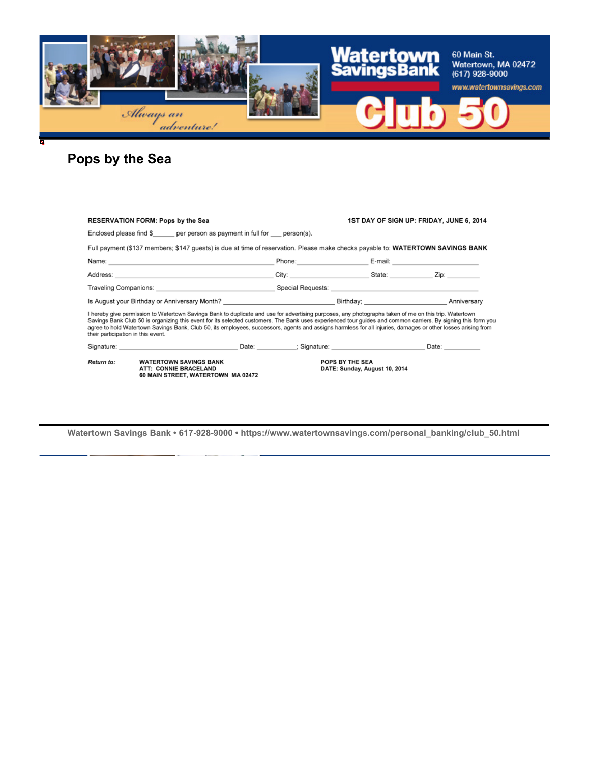

# **Pops by the Sea**

|                                                                                                                                                                                                                                                                                                                                                                                                                                                                                                                              | <b>RESERVATION FORM: Pops by the Sea</b>                                                                                                                                                                                       |  | 1ST DAY OF SIGN UP: FRIDAY, JUNE 6, 2014                                                                                                                                                                                       |  |  |  |  |
|------------------------------------------------------------------------------------------------------------------------------------------------------------------------------------------------------------------------------------------------------------------------------------------------------------------------------------------------------------------------------------------------------------------------------------------------------------------------------------------------------------------------------|--------------------------------------------------------------------------------------------------------------------------------------------------------------------------------------------------------------------------------|--|--------------------------------------------------------------------------------------------------------------------------------------------------------------------------------------------------------------------------------|--|--|--|--|
| Enclosed please find \$ per person as payment in full for person(s).                                                                                                                                                                                                                                                                                                                                                                                                                                                         |                                                                                                                                                                                                                                |  |                                                                                                                                                                                                                                |  |  |  |  |
|                                                                                                                                                                                                                                                                                                                                                                                                                                                                                                                              | Full payment (\$137 members; \$147 quests) is due at time of reservation. Please make checks payable to: WATERTOWN SAVINGS BANK                                                                                                |  |                                                                                                                                                                                                                                |  |  |  |  |
|                                                                                                                                                                                                                                                                                                                                                                                                                                                                                                                              |                                                                                                                                                                                                                                |  | Phone: E-mail: E-mail: E-mail: E-mail: E-mail: E-mail: E-mail: E-mail: E-mail: E-mail: E-mail: E-mail: E-mail: E-mail: E-mail: E-mail: E-mail: E-mail: E-mail: E-mail: E-mail: E-mail: E-mail: E-mail: E-mail: E-mail: E-mail: |  |  |  |  |
| Address: Zip: Zip: City: City: City: State: Zip:                                                                                                                                                                                                                                                                                                                                                                                                                                                                             |                                                                                                                                                                                                                                |  |                                                                                                                                                                                                                                |  |  |  |  |
|                                                                                                                                                                                                                                                                                                                                                                                                                                                                                                                              |                                                                                                                                                                                                                                |  |                                                                                                                                                                                                                                |  |  |  |  |
| Is August your Birthday or Anniversary Month? <b>August 2018</b> Birthday; <b>August 2018</b> Anniversary                                                                                                                                                                                                                                                                                                                                                                                                                    |                                                                                                                                                                                                                                |  |                                                                                                                                                                                                                                |  |  |  |  |
| I hereby give permission to Watertown Savings Bank to duplicate and use for advertising purposes, any photographs taken of me on this trip. Watertown<br>Savings Bank Club 50 is organizing this event for its selected customers. The Bank uses experienced tour guides and common carriers. By signing this form you<br>agree to hold Watertown Savings Bank, Club 50, its employees, successors, agents and assigns harmless for all injuries, damages or other losses arising from<br>their participation in this event. |                                                                                                                                                                                                                                |  |                                                                                                                                                                                                                                |  |  |  |  |
|                                                                                                                                                                                                                                                                                                                                                                                                                                                                                                                              | Signature: Date: Date: Date: Date: Signature: Signature: Date: Date: Date: Date: Date: Date: Date: Date: Date: Date: Date: Date: Date: Date: Date: Date: Date: Date: Date: Date: Date: Date: Date: Date: Date: Date: Date: Dat |  |                                                                                                                                                                                                                                |  |  |  |  |
| Return to:                                                                                                                                                                                                                                                                                                                                                                                                                                                                                                                   | <b>WATERTOWN SAVINGS BANK</b><br>ATT: CONNIE BRACELAND<br>60 MAIN STREET, WATERTOWN MA 02472                                                                                                                                   |  | POPS BY THE SEA<br>DATE: Sunday, August 10, 2014                                                                                                                                                                               |  |  |  |  |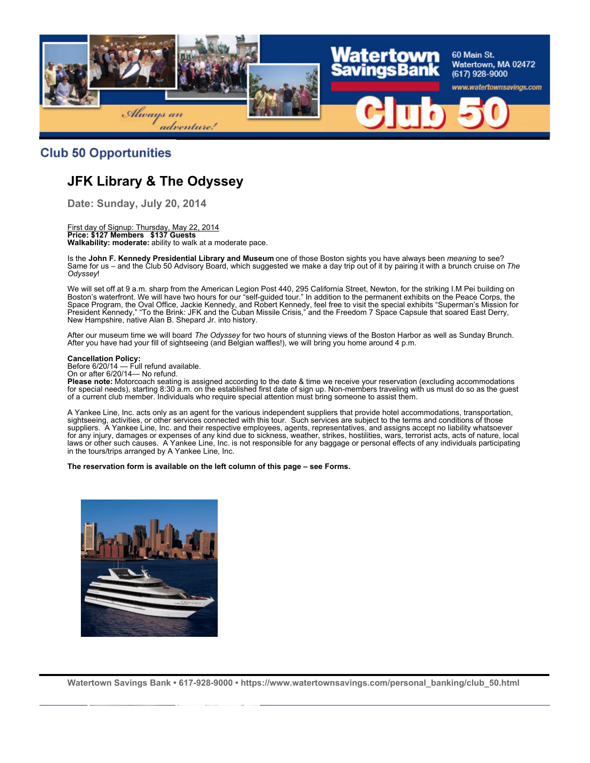

#### **Club 50 Opportunities**

# **JFK Library & The Odyssey**

**Date: Sunday, July 20, 2014**

First day of Signup: Thursday, May 22, 2014 **Price: \$127 Members \$137 Guests Walkability: moderate:** ability to walk at a moderate pace.

Is the **John F. Kennedy Presidential Library and Museum** one of those Boston sights you have always been *meaning* to see? Same for us – and the Club 50 Advisory Board, which suggested we make a day trip out of it by pairing it with a brunch cruise on The *Odyssey*!

We will set off at 9 a.m. sharp from the American Legion Post 440, 295 California Street, Newton, for the striking I.M Pei building on Boston's waterfront. We will have two hours for our "self-guided tour." In addition to the permanent exhibits on the Peace Corps, the Space Program, the Oval Office, Jackie Kennedy, and Robert Kennedy, feel free to visit the special exhibits "Superman's Mission for President Kennedy," "To the Brink: JFK and the Cuban Missile Crisis," and the Freedom 7 Space Capsule that soared East Derry, New Hampshire, native Alan B. Shepard Jr. into history.

After our museum time we will board *The Odyssey* for two hours of stunning views of the Boston Harbor as well as Sunday Brunch. After you have had your fill of sightseeing (and Belgian waffles!), we will bring you home around 4 p.m.

#### **Cancellation Policy:**

Before 6/20/14 — Full refund available.

On or after 6/20/14— No refund.

**Please note:** Motorcoach seating is assigned according to the date & time we receive your reservation (excluding accommodations for special needs), starting 8:30 a.m. on the established first date of sign up. Non-members traveling with us must do so as the guest of a current club member. Individuals who require special attention must bring someone to assist them.

A Yankee Line, Inc. acts only as an agent for the various independent suppliers that provide hotel accommodations, transportation, sightseeing, activities, or other services connected with this tour. Such services are subject to the terms and conditions of those suppliers. A Yankee Line, Inc. and their respective employees, agents, representatives, and assigns accept no liability whatsoever for any injury, damages or expenses of any kind due to sickness, weather, strikes, hostilities, wars, terrorist acts, acts of nature, local laws or other such causes. A Yankee Line, Inc. is not responsible for any baggage or personal effects of any individuals participating in the tours/trips arranged by A Yankee Line, Inc.

**The reservation form is available on the left column of this page – see Forms.**

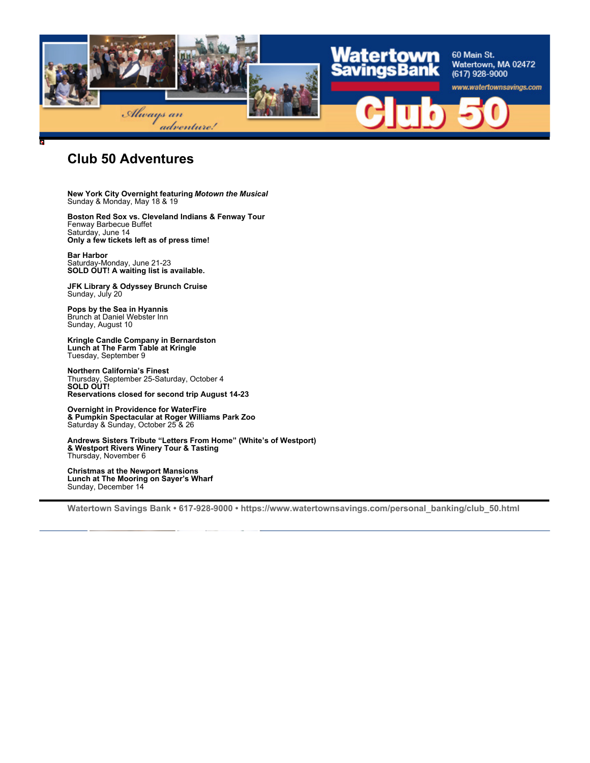

### **Club 50 Adventures**

**New York City Overnight featuring** *Motown the Musical* Sunday & Monday, May 18 & 19

**Boston Red Sox vs. Cleveland Indians & Fenway Tour** Fenway Barbecue Buffet Saturday, June 14 **Only a few tickets left as of press time!**

**Bar Harbor** Saturday-Monday, June 21-23 **SOLD OUT! A waiting list is available.**

**JFK Library & Odyssey Brunch Cruise** Sunday, July 20

**Pops by the Sea in Hyannis** Brunch at Daniel Webster Inn Sunday, August 10

**Kringle Candle Company in Bernardston Lunch at The Farm Table at Kringle** Tuesday, September 9

**Northern California's Finest** Thursday, September 25-Saturday, October 4 **SOLD OUT! Reservations closed for second trip August 14-23**

**Overnight in Providence for WaterFire & Pumpkin Spectacular at Roger Williams Park Zoo** Saturday & Sunday, October 25 & 26

**Andrews Sisters Tribute "Letters From Home" (White's of Westport) & Westport Rivers Winery Tour & Tasting** Thursday, November 6

**Christmas at the Newport Mansions Lunch at The Mooring on Sayer's Wharf** Sunday, December 14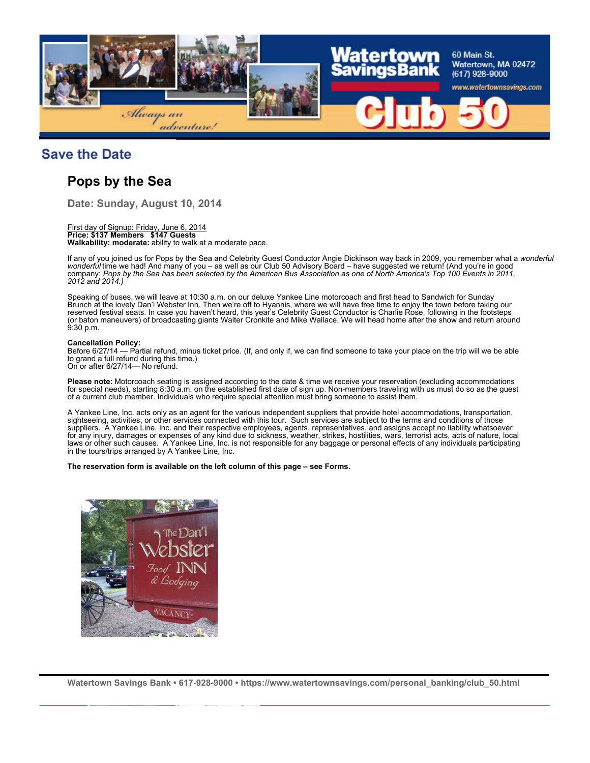

### **Save the Date**

## **Pops by the Sea**

**Date: Sunday, August 10, 2014**

#### First day of Signup: Friday, June 6, 2014

**Price: \$137 Members \$147 Guests Walkability: moderate:** ability to walk at a moderate pace.

If any of you joined us for Pops by the Sea and Celebrity Guest Conductor Angie Dickinson way back in 2009, you remember what a *wonderful* wonderful time we had! And many of you - as well as our Club 50 Advisory Board - have suggested we return! (And you're in good company: *Pops by the Sea has been selected by the American Bus Association as one of North America's Top 100 Events in 2011, 2012 and 2014.)*

Speaking of buses, we will leave at 10:30 a.m. on our deluxe Yankee Line motorcoach and first head to Sandwich for Sunday Brunch at the lovely Dan'l Webster Inn. Then we're off to Hyannis, where we will have free time to enjoy the town before taking our reserved festival seats. In case you haven't heard, this year's Celebrity Guest Conductor is Charlie Rose, following in the footsteps (or baton maneuvers) of broadcasting giants Walter Cronkite and Mike Wallace. We will head home after the show and return around 9:30 p.m.

#### **Cancellation Policy:**

Before 6/27/14 — Partial refund, minus ticket price. (If, and only if, we can find someone to take your place on the trip will we be able to grand a full refund during this time.) On or after 6/27/14— No refund.

**Please note:** Motorcoach seating is assigned according to the date & time we receive your reservation (excluding accommodations for special needs), starting 8:30 a.m. on the established first date of sign up. Non-members traveling with us must do so as the guest of a current club member. Individuals who require special attention must bring someone to assist them.

A Yankee Line, Inc. acts only as an agent for the various independent suppliers that provide hotel accommodations, transportation, sightseeing, activities, or other services connected with this tour. Such services are subject to the terms and conditions of those suppliers. A Yankee Line, Inc. and their respective employees, agents, representatives, and assigns accept no liability whatsoever for any injury, damages or expenses of any kind due to sickness, weather, strikes, hostilities, wars, terrorist acts, acts of nature, local laws or other such causes. A Yankee Line, Inc. is not responsible for any baggage or personal effects of any individuals participating in the tours/trips arranged by A Yankee Line, Inc.

#### **The reservation form is available on the left column of this page – see Forms.**

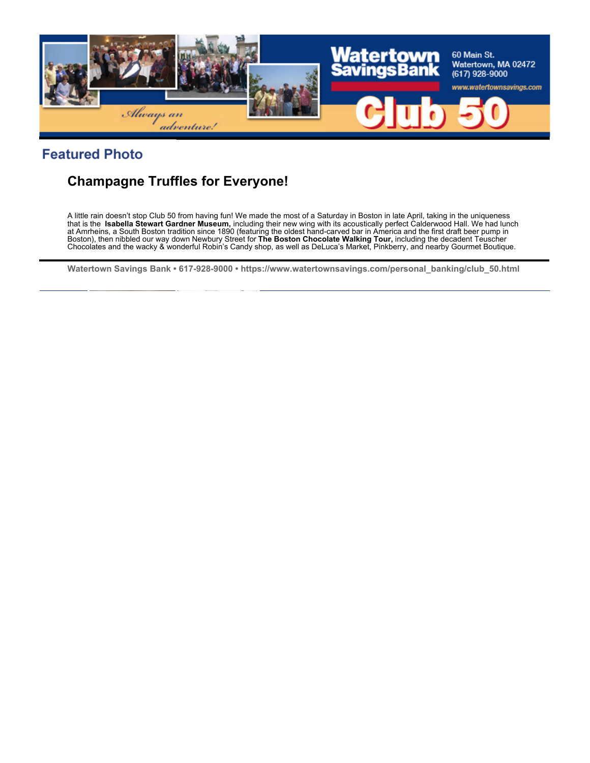

## **Featured Photo**

# **Champagne Truffles for Everyone!**

A little rain doesn't stop Club 50 from having fun! We made the most of a Saturday in Boston in late April, taking in the uniqueness that is the **Isabella Stewart Gardner Museum,** including their new wing with its acoustically perfect Calderwood Hall. We had lunch at Amrheins, a South Boston tradition since 1890 (featuring the oldest hand-carved bar in America and the first draft beer pump in Boston), then nibbled our way down Newbury Street for **The Boston Chocolate Walking Tour,** including the decadent Teuscher Chocolates and the wacky & wonderful Robin's Candy shop, as well as DeLuca's Market, Pinkberry, and nearby Gourmet Boutique.